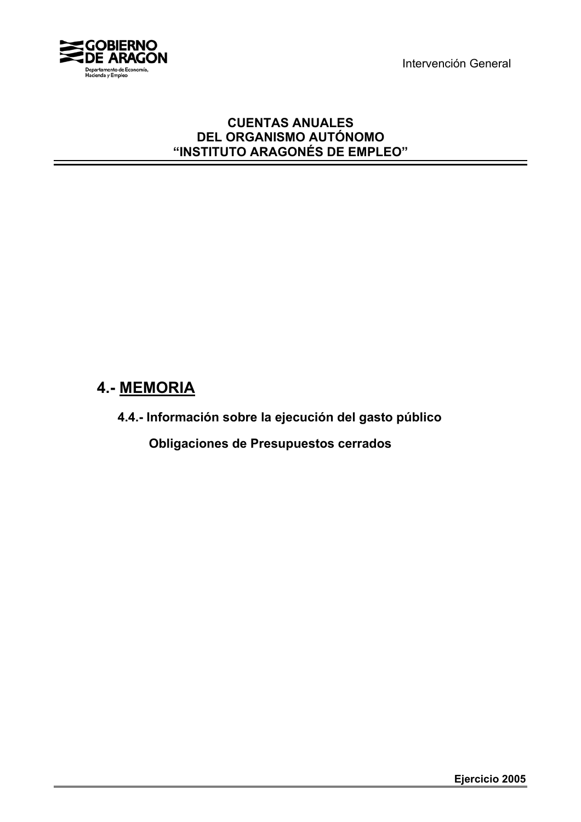Intervención General



# **CUENTAS ANUALES DEL ORGANISMO AUTÓNOMO "INSTITUTO ARAGONÉS DE EMPLEO"**

# **4.- MEMORIA**

**4.4.- Información sobre la ejecución del gasto público**

 **Obligaciones de Presupuestos cerrados**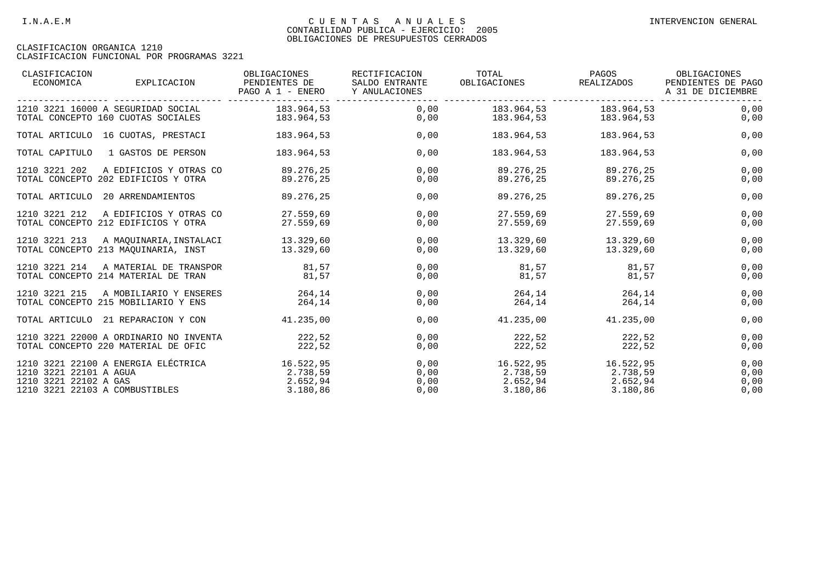| CLASIFICACION<br>ECONOMICA                                                        | EXPLICACION                                                                   | OBLIGACIONES<br>PENDIENTES DE<br>PAGO A 1 - ENERO | RECTIFICACION<br>SALDO ENTRANTE<br>Y ANULACIONES | TOTAL<br>OBLIGACIONES                                                                                                   | PAGOS<br>REALIZADOS                        | OBLIGACIONES<br>PENDIENTES DE PAGO<br>A 31 DE DICIEMBRE |
|-----------------------------------------------------------------------------------|-------------------------------------------------------------------------------|---------------------------------------------------|--------------------------------------------------|-------------------------------------------------------------------------------------------------------------------------|--------------------------------------------|---------------------------------------------------------|
|                                                                                   | 1210 3221 16000 A SEGURIDAD SOCIAL<br>TOTAL CONCEPTO 160 CUOTAS SOCIALES      | 183.964,53<br>183.964,53                          |                                                  | 0,00 183.964,53<br>183.964,53<br>0,00                                                                                   | 183.964,53<br>183.964,53                   | 0,00<br>0,00                                            |
|                                                                                   | TOTAL ARTICULO 16 CUOTAS, PRESTACI                                            | 183.964,53                                        | 0,00                                             | 183.964,53                                                                                                              | 183.964,53                                 | 0,00                                                    |
| TOTAL CAPITULO                                                                    | 1 GASTOS DE PERSON                                                            | 183.964,53                                        | 0,00                                             | 183.964,53                                                                                                              | 183.964,53                                 | 0,00                                                    |
| 1210 3221 202                                                                     | A EDIFICIOS Y OTRAS CO<br>TOTAL CONCEPTO 202 EDIFICIOS Y OTRA                 | 89.276,25<br>89.276,25                            | 0.00<br>0,00                                     | 89.276,25<br>89.276,25                                                                                                  | 89.276,25<br>89.276,25                     | 0,00<br>0,00                                            |
|                                                                                   | TOTAL ARTICULO 20 ARRENDAMIENTOS                                              | 89.276,25                                         | 0,00                                             | 89.276,25                                                                                                               | 89.276,25                                  | 0,00                                                    |
| 1210 3221 212                                                                     | A EDIFICIOS Y OTRAS CO<br>TOTAL CONCEPTO 212 EDIFICIOS Y OTRA                 | 27.559.69<br>27.559,69                            | 0,00<br>0,00                                     | 27.559,69<br>27.559,69                                                                                                  | 27.559,69<br>27.559,69                     | 0,00<br>0,00                                            |
| 1210 3221 213                                                                     | A MAQUINARIA, INSTALACI 13.329,60<br>TOTAL CONCEPTO 213 MAOUINARIA, INST      | 13.329.60                                         | 0,00<br>0,00                                     |                                                                                                                         | 13.329,60 13.329,60<br>13.329,60 13.329,60 | 0,00<br>0,00                                            |
| 1210 3221 214                                                                     | A MATERIAL DE TRANSPOR 61,57<br>TOTAL CONCEPTO 214 MATERIAL DE TRAN           | 81,57                                             | 0,00<br>0,00                                     | 81,57<br>81,57                                                                                                          | 81,57<br>81,57                             | 0,00<br>0,00                                            |
| 1210 3221 215                                                                     | A MOBILIARIO Y ENSERES<br>TOTAL CONCEPTO 215 MOBILIARIO Y ENS                 | 264.14<br>264,14                                  | 0,00<br>0,00                                     | 264, 14<br>264,14                                                                                                       | 264.14<br>264,14                           | 0,00<br>0,00                                            |
|                                                                                   | TOTAL ARTICULO 21 REPARACION Y CON                                            | 41.235,00                                         | 0,00                                             | 41.235,00                                                                                                               | 41.235,00                                  | 0,00                                                    |
|                                                                                   | 1210 3221 22000 A ORDINARIO NO INVENTA<br>TOTAL CONCEPTO 220 MATERIAL DE OFIC | 222,52<br>222,52                                  | 0,00<br>0,00                                     | 222,52<br>222,52                                                                                                        | 222,52<br>222,52                           | 0,00<br>0,00                                            |
| 1210 3221 22101 A AGUA<br>1210 3221 22102 A GAS<br>1210 3221 22103 A COMBUSTIBLES | 1210 3221 22100 A ENERGIA ELÉCTRICA                                           | 16.522,95<br>2.738,59<br>2.652,94<br>3.180,86     | 0,00<br>0,00<br>0,00<br>0,00                     | $16.522.95$ $16.522.95$<br>$2.738,59$<br>$2.738,59$<br>$2.652,94$<br>$3.180,86$<br>$3.180,86$<br>$3.180,86$<br>3.180,86 |                                            | 0,00<br>0,00<br>0,00<br>0,00                            |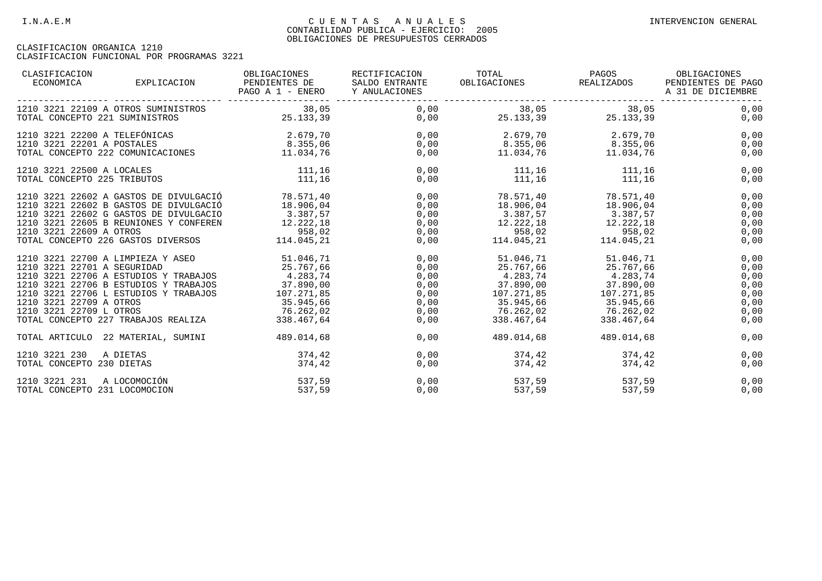| CLASIFICACION<br>ECONOMICA<br>EXPLICACION                                                                                                                                                                                                                                                                   | OBLIGACIONES<br>PENDIENTES DE<br>PAGO A 1 - ENERO Y ANULACIONES              | RECTIFICACION<br>SALDO ENTRANTE      | TOTAL<br>OBLIGACIONES                                                                                                                                                          | PAGOS<br>REALIZADOS                                | OBLIGACIONES<br>PENDIENTES DE PAGO<br>A 31 DE DICIEMBRE      |
|-------------------------------------------------------------------------------------------------------------------------------------------------------------------------------------------------------------------------------------------------------------------------------------------------------------|------------------------------------------------------------------------------|--------------------------------------|--------------------------------------------------------------------------------------------------------------------------------------------------------------------------------|----------------------------------------------------|--------------------------------------------------------------|
| 1210 3221 22109 A OTROS SUMINISTROS<br>TOTAL CONCEPTO 221 SUMINISTROS                                                                                                                                                                                                                                       | 38,05<br>25.133,39                                                           |                                      | $0,00$ $38,05$ $38,05$ $38,05$<br>$0,00$ $25.133,39$ $25.133,39$                                                                                                               |                                                    | 0,00<br>0,00                                                 |
| 1210 3221 22200 A TELEFÓNICAS<br>$\begin{tabular}{lllllllllllll} \texttt{1210} & \texttt{3221} & \texttt{22201} & \texttt{A POSTALES} & \texttt{8.355,06} \\ \texttt{TOTAL CONCEPTO} & \texttt{222} & \texttt{COMUNICACIONES} & & & & 11.034,76 \\ \end{tabular}$                                           | 2.679,70                                                                     | 0,00<br>0,00                         |                                                                                                                                                                                | 2.679,70<br>8.355,06 8.355,06<br>3.355,06 8.355,06 | 0,00<br>0,00<br>0,00                                         |
| 1210 3221 22500 A LOCALES<br>TOTAL CONCEPTO 225 TRIBUTOS                                                                                                                                                                                                                                                    | 111,16<br>111,16                                                             | 0.00<br>0,00                         | 111,16<br>$111, 16$ $111, 16$                                                                                                                                                  | 111,16                                             | 0,00<br>0,00                                                 |
| 1210 3221 22602 A GASTOS DE DIVULGACIÓ<br>1210 3221 22602 B GASTOS DE DIVULGACIÓ<br>1210 3221 22602 G GASTOS DE DIVULGACIO<br>1210 3221 22605 B REUNIONES Y CONFEREN<br>1210 3221 22609 A OTROS<br>TOTAL CONCEPTO 226 GASTOS DIVERSOS 114.045,21                                                            | 78.571,40<br>18.906,04<br>3.387,57<br>12.222,18<br>958,02                    | 0,00<br>0,00<br>0,00<br>0,00         | 18.906,04 18.906,04<br>$3.387,57$ $3.387,57$<br>$12.222,18$ $12.222,18$<br>$0,00$<br>$0,00$<br>$114.045,21$<br>$114.045,21$<br>$114.045,21$                                    | 78.571,40 78.571,40                                | 0,00<br>0,00<br>0,00<br>0,00<br>0,00<br>0,00                 |
| 1210 3221 22700 A LIMPIEZA Y ASEO 51.046,71<br>1210 3221 22701 A SEGURIDAD<br>1210 3221 22706 A ESTUDIOS Y TRABAJOS 4.283,74<br>1210 3221 22706 B ESTUDIOS Y TRABAJOS<br>1210 3221 22706 L ESTUDIOS Y TRABAJOS<br>1210 3221 22709 A OTROS<br>1210 3221 22709 L OTROS<br>TOTAL CONCEPTO 227 TRABAJOS REALIZA | 25.767,66<br>37.890,00<br>107.271,85<br>35.945,66<br>76.262,02<br>338.467,64 | 0,00<br>0,00<br>0,00<br>0,00<br>0,00 | 25.767,66 25.767,66<br>$4.283,74$ $4.283,74$<br>$37.890,00$ $37.890,00$<br>107.271,85 107.271,85<br>0,00 35.945,66 35.945,66<br>0,00 76.262,02 76.262,02<br>338.467,64<br>0,00 | 51.046,71 51.046,71<br>338.467,64                  | 0,00<br>0,00<br>0,00<br>0,00<br>0,00<br>0,00<br>0,00<br>0,00 |
| TOTAL ARTICULO 22 MATERIAL, SUMINI                                                                                                                                                                                                                                                                          | 489.014,68                                                                   | 0,00                                 | 489.014,68                                                                                                                                                                     | 489.014.68                                         | 0,00                                                         |
| 1210 3221 230<br>A DIETAS<br>TOTAL CONCEPTO 230 DIETAS                                                                                                                                                                                                                                                      | 374,42<br>374,42                                                             | 0,00<br>0,00                         | 374,42                                                                                                                                                                         | 374,42<br>374,42<br>374,42                         | 0,00<br>0,00                                                 |
| A LOCOMOCIÓN<br>1210 3221 231<br>TOTAL CONCEPTO 231 LOCOMOCION                                                                                                                                                                                                                                              | 537,59<br>537,59                                                             | 0,00<br>0,00                         | 537,59<br>537,59                                                                                                                                                               | 537,59<br>537,59                                   | 0,00<br>0,00                                                 |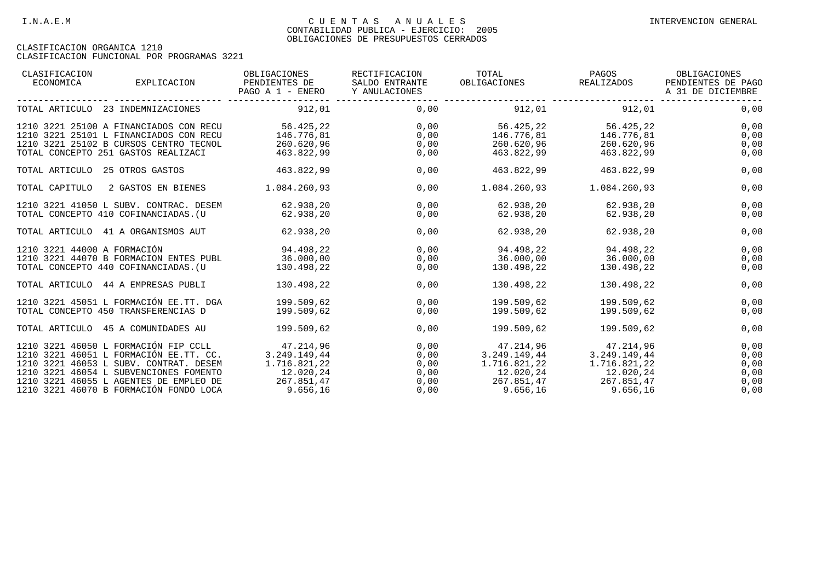| CLASIFICACION<br>ECONOMICA<br>EXPLICACION                                                                                                                                    | OBLIGACIONES<br>PENDIENTES DE<br>PAGO A 1 - ENERO   | RECTIFICACION<br>SALDO ENTRANTE<br>Y ANULACIONES | TOTAL<br>OBLIGACIONES                               | PAGOS<br>REALIZADOS                                                                   | OBLIGACIONES<br>PENDIENTES DE PAGO<br>A 31 DE DICIEMBRE |
|------------------------------------------------------------------------------------------------------------------------------------------------------------------------------|-----------------------------------------------------|--------------------------------------------------|-----------------------------------------------------|---------------------------------------------------------------------------------------|---------------------------------------------------------|
| TOTAL ARTICULO 23 INDEMNIZACIONES                                                                                                                                            | 912,01                                              | 0,00                                             | 912,01                                              | 912,01                                                                                | 0,00                                                    |
| 1210 3221 25100 A FINANCIADOS CON RECU<br>1210 3221 25101 L FINANCIADOS CON RECU<br>1210 3221 25102 B CURSOS CENTRO TECNOL<br>TOTAL CONCEPTO 251 GASTOS REALIZACI            | 56.425,22<br>146.776,81<br>260.620,96<br>463.822,99 | 0,00<br>0,00<br>0,00<br>0,00                     | 56.425,22<br>146.776,81<br>260.620,96<br>463.822,99 | 56.425,22<br>146.776,81<br>260.620,96<br>463.822,99                                   | 0,00<br>0,00<br>0,00<br>0,00                            |
| TOTAL ARTICULO 25 OTROS GASTOS                                                                                                                                               | 463.822,99                                          | 0,00                                             | 463.822,99                                          | 463.822,99                                                                            | 0,00                                                    |
| TOTAL CAPITULO<br>2 GASTOS EN BIENES                                                                                                                                         | 1.084.260,93                                        | 0,00                                             | 1.084.260,93                                        | 1.084.260,93                                                                          | 0,00                                                    |
| 1210 3221 41050 L SUBV. CONTRAC. DESEM<br>TOTAL CONCEPTO 410 COFINANCIADAS. (U                                                                                               | 62.938,20<br>62.938,20                              | 0,00<br>0,00                                     | 62.938,20<br>62.938,20                              | 62.938,20<br>62.938,20                                                                | 0,00<br>0,00                                            |
| TOTAL ARTICULO 41 A ORGANISMOS AUT                                                                                                                                           | 62.938,20                                           | 0,00                                             | 62.938,20                                           | 62.938,20                                                                             | 0,00                                                    |
| 1210 3221 44000 A FORMACIÓN<br>1210 3221 44070 B FORMACION ENTES PUBL<br>TOTAL CONCEPTO 440 COFINANCIADAS. (U                                                                | 94.498,22<br>36.000,00<br>130.498,22                | 0,00<br>0,00<br>0,00                             | 94.498,22<br>$36.000,00$ $36.000,00$<br>130.498,22  | 94.498,22<br>130.498,22                                                               | 0,00<br>0,00<br>0,00                                    |
| TOTAL ARTICULO 44 A EMPRESAS PUBLI                                                                                                                                           | 130.498,22                                          | 0,00                                             | 130.498,22                                          | 130.498,22                                                                            | 0,00                                                    |
| 1210 3221 45051 L FORMACIÓN EE.TT. DGA<br>TOTAL CONCEPTO 450 TRANSFERENCIAS D                                                                                                | 199.509.62<br>199.509,62                            | 0,00<br>0,00                                     | 199.509.62<br>199.509,62                            | 199.509.62<br>199.509,62                                                              | 0,00<br>0,00                                            |
| TOTAL ARTICULO 45 A COMUNIDADES AU                                                                                                                                           | 199.509,62                                          | 0,00                                             | 199.509,62                                          | 199.509,62                                                                            | 0,00                                                    |
| 1210 3221 46050 L FORMACIÓN FIP CCLL 47.214,96<br>1210 3221 46051 L FORMACIÓN EE.TT. CC.<br>1210 3221 46053 L SUBV, CONTRAT, DESEM<br>1210 3221 46054 L SUBVENCIONES FOMENTO | 3.249.149,44<br>1.716.821,22<br>12.020,24           | 0,00<br>0,00<br>0,00<br>0,00                     | 1.716.821,22<br>12.020,24                           | 47.214,96 47.214,96<br>$3.249.149.44$ $3.249.149.44$<br>$1.716.821,22$<br>$12.020,24$ | 0,00<br>0,00<br>0,00<br>0,00                            |
| 1210 3221 46055 L AGENTES DE EMPLEO DE<br>1210 3221 46070 B FORMACIÓN FONDO LOCA                                                                                             | 267.851,47<br>9.656, 16                             | 0,00<br>0,00                                     | 267.851,47<br>9.656, 16                             | 267.851,47<br>9.656,16                                                                | 0,00<br>0,00                                            |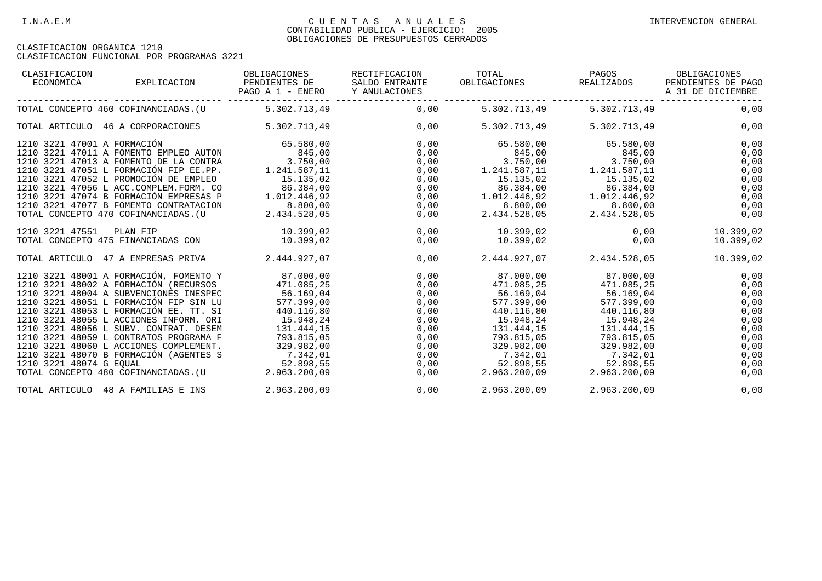| CLASIFICACION<br>ECONOMICA  | EXPLICACION                                                                                                                                                                                                                                                                                                                                                                                                                                                             | OBLIGACIONES<br>PENDIENTES DE<br>PAGO A 1 - ENERO                                                                                                                | RECTIFICACION<br>SALDO ENTRANTE<br>Y ANULACIONES                                     | TOTAL<br>OBLIGACIONES                                                                                                                                                         | PAGOS<br>REALIZADOS                                                                                                                    | OBLIGACIONES<br>PENDIENTES DE PAGO<br>A 31 DE DICIEMBRE                                      |
|-----------------------------|-------------------------------------------------------------------------------------------------------------------------------------------------------------------------------------------------------------------------------------------------------------------------------------------------------------------------------------------------------------------------------------------------------------------------------------------------------------------------|------------------------------------------------------------------------------------------------------------------------------------------------------------------|--------------------------------------------------------------------------------------|-------------------------------------------------------------------------------------------------------------------------------------------------------------------------------|----------------------------------------------------------------------------------------------------------------------------------------|----------------------------------------------------------------------------------------------|
|                             | TOTAL CONCEPTO 460 COFINANCIADAS. (U 5.302.713,49                                                                                                                                                                                                                                                                                                                                                                                                                       |                                                                                                                                                                  | 0,00                                                                                 | 5.302.713,49                                                                                                                                                                  | 5.302.713,49                                                                                                                           | 0,00                                                                                         |
|                             | TOTAL ARTICULO 46 A CORPORACIONES                                                                                                                                                                                                                                                                                                                                                                                                                                       | 5.302.713,49                                                                                                                                                     | 0,00                                                                                 | 5.302.713,49                                                                                                                                                                  | 5.302.713,49                                                                                                                           | 0,00                                                                                         |
| 1210 3221 47001 A FORMACIÓN | 1210 3221 47011 A FOMENTO EMPLEO AUTON<br>1210 3221 47013 A FOMENTO DE LA CONTRA<br>1210 3221 47051 L FORMACIÓN FIP EE.PP.<br>1210 3221 47052 L PROMOCIÓN DE EMPLEO<br>1210 3221 47056 L ACC.COMPLEM.FORM. CO<br>1210 3221 47074 B FORMACIÓN EMPRESAS P<br>1210 3221 47077 B FOMEMTO CONTRATACION                                                                                                                                                                       | 65.580,00<br>845,00<br>3.750,00<br>1.241.587,11<br>15.135,02<br>86.384,00<br>1.012.446,92<br>8.800,00                                                            | 0,00<br>0,00<br>0,00<br>0,00<br>0,00<br>0,00<br>0,00<br>0,00                         | 65.580,00<br>845,00<br>3.750,00<br>1.241.587,11<br>15.135,02<br>86.384,00<br>1.012.446,92<br>8.800,00                                                                         | 65.580,00<br>845,00<br>3.750,00<br>1.241.587, 11<br>15.135,02<br>86.384,00<br>1.012.446,92<br>8.800,00                                 | 0,00<br>0,00<br>0,00<br>0,00<br>0,00<br>0,00<br>0,00<br>0,00                                 |
| 1210 3221 47551             | TOTAL CONCEPTO 470 COFINANCIADAS. (U<br>PLAN FIP<br>TOTAL CONCEPTO 475 FINANCIADAS CON                                                                                                                                                                                                                                                                                                                                                                                  | 2.434.528,05<br>10.399,02<br>10.399,02                                                                                                                           | 0,00<br>0,00<br>0,00                                                                 | 2.434.528,05<br>10.399,02<br>10.399,02                                                                                                                                        | 2.434.528,05<br>0,00                                                                                                                   | 0,00<br>0,00<br>10.399,02<br>10.399,02                                                       |
|                             | TOTAL ARTICULO 47 A EMPRESAS PRIVA                                                                                                                                                                                                                                                                                                                                                                                                                                      | 2.444.927,07                                                                                                                                                     | 0,00                                                                                 | 2.444.927,07                                                                                                                                                                  | 2.434.528,05                                                                                                                           | 10.399,02                                                                                    |
| 1210 3221 48074 G EOUAL     | 1210 3221 48001 A FORMACIÓN, FOMENTO Y<br>1210 3221 48002 A FORMACIÓN (RECURSOS<br>1210 3221 48004 A SUBVENCIONES INESPEC<br>1210 3221 48051 L FORMACIÓN FIP SIN LU<br>1210 3221 48053 L FORMACIÓN EE. TT. SI<br>1210 3221 48055 L ACCIONES INFORM. ORI<br>1210 3221 48056 L SUBV. CONTRAT. DESEM<br>1210 3221 48059 L CONTRATOS PROGRAMA F<br>1210 3221 48060 L ACCIONES COMPLEMENT.<br>1210 3221 48070 B FORMACIÓN (AGENTES S<br>TOTAL CONCEPTO 480 COFINANCIADAS. (U | 87.000,00<br>471.085,25<br>56.169.04<br>577.399,00<br>440.116,80<br>15.948,24<br>131.444,15<br>793.815,05<br>329.982,00<br>7.342,01<br>52.898,55<br>2.963.200,09 | 0,00<br>0,00<br>0,00<br>0,00<br>0,00<br>0,00<br>0,00<br>0,00<br>0,00<br>0,00<br>0,00 | 471.085,25<br>$56.169.04$ 56.169.04<br>577.399,00<br>440.116,80<br>15.948,24<br>131.444,15<br>793.815,05<br>329.982,00<br>7.342,01<br>$52.898, 55$<br>2.963.200,09 2.<br>0,00 | 471.085,25<br>577.399,00<br>440.116,80<br>15.948,24<br>131.444,15<br>793.815,05<br>329.982,00<br>7.342,01<br>52.898,55<br>2.963.200,09 | 0,00<br>0,00<br>0,00<br>0,00<br>0,00<br>0,00<br>0,00<br>0,00<br>0,00<br>0,00<br>0,00<br>0,00 |
|                             | TOTAL ARTICULO 48 A FAMILIAS E INS                                                                                                                                                                                                                                                                                                                                                                                                                                      | 2.963.200,09                                                                                                                                                     | 0,00                                                                                 | 2.963.200,09                                                                                                                                                                  | 2.963.200,09                                                                                                                           | 0,00                                                                                         |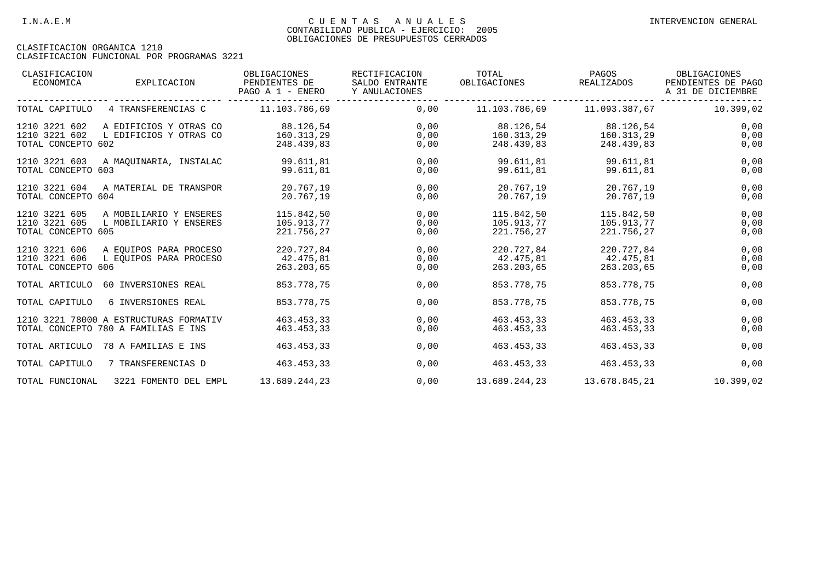| CLASIFICACION<br>ECONOMICA                           | EXPLICACION                                                                   | OBLIGACIONES<br>PENDIENTES DE<br>PAGO A 1 - ENERO | RECTIFICACION<br>SALDO ENTRANTE<br>Y ANULACIONES | TOTAL<br>OBLIGACIONES                  | PAGOS<br>REALIZADOS                    | OBLIGACIONES<br>PENDIENTES DE PAGO<br>A 31 DE DICIEMBRE |
|------------------------------------------------------|-------------------------------------------------------------------------------|---------------------------------------------------|--------------------------------------------------|----------------------------------------|----------------------------------------|---------------------------------------------------------|
| TOTAL CAPITULO                                       | 4 TRANSFERENCIAS C                                                            | 11.103.786,69                                     | 0,00                                             |                                        |                                        | 10.399,02                                               |
| 1210 3221 602<br>1210 3221 602<br>TOTAL CONCEPTO 602 | A EDIFICIOS Y OTRAS CO<br>L EDIFICIOS Y OTRAS CO                              | 88.126,54<br>160.313,29<br>248.439,83             | 0,00<br>0,00<br>0,00                             | 88.126,54<br>160.313,29<br>248.439,83  | 88.126,54<br>160.313,29<br>248.439,83  | 0,00<br>0,00<br>0,00                                    |
| 1210 3221 603<br>TOTAL CONCEPTO 603                  | A MAOUINARIA, INSTALAC                                                        | 99.611,81<br>99.611,81                            | 0,00<br>0,00                                     | 99.611,81<br>99.611,81                 | 99.611,81<br>99.611,81                 | 0,00<br>0,00                                            |
| 1210 3221 604<br>TOTAL CONCEPTO 604                  | A MATERIAL DE TRANSPOR                                                        | 20.767.19<br>20.767.19                            | 0.00<br>0,00                                     | 20.767.19<br>20.767.19                 | 20.767.19<br>20.767,19                 | 0,00<br>0,00                                            |
| 1210 3221 605<br>1210 3221 605<br>TOTAL CONCEPTO 605 | A MOBILIARIO Y ENSERES<br>L MOBILIARIO Y ENSERES                              | 115.842,50<br>105.913.77<br>221.756,27            | 0,00<br>0,00<br>0,00                             | 115.842,50<br>105.913.77<br>221.756,27 | 115.842,50<br>105.913.77<br>221.756,27 | 0,00<br>0,00<br>0,00                                    |
| 1210 3221 606<br>1210 3221 606<br>TOTAL CONCEPTO 606 | A EOUIPOS PARA PROCESO<br>L EQUIPOS PARA PROCESO                              | 220.727,84<br>42.475,81<br>263.203,65             | 0,00<br>0,00<br>0,00                             | 220.727,84<br>42.475,81<br>263.203,65  | 220.727,84<br>42.475,81<br>263.203,65  | 0,00<br>0,00<br>0,00                                    |
| TOTAL ARTICULO                                       | 60 INVERSIONES REAL                                                           | 853.778,75                                        | 0,00                                             | 853.778,75                             | 853.778,75                             | 0,00                                                    |
| TOTAL CAPITULO                                       | 6 INVERSIONES REAL                                                            | 853.778.75                                        | 0.00                                             | 853.778.75                             | 853.778.75                             | 0,00                                                    |
|                                                      | 1210 3221 78000 A ESTRUCTURAS FORMATIV<br>TOTAL CONCEPTO 780 A FAMILIAS E INS | 463.453,33<br>463.453.33                          | 0,00<br>0,00                                     | 463.453,33<br>463.453,33               | 463.453,33<br>463.453,33               | 0,00<br>0,00                                            |
|                                                      | TOTAL ARTICULO 78 A FAMILIAS E INS                                            | 463.453,33                                        | 0,00                                             | 463.453,33                             | 463.453,33                             | 0,00                                                    |
| TOTAL CAPITULO                                       | 7 TRANSFERENCIAS D                                                            | 463.453,33                                        | 0,00                                             | 463.453,33                             | 463.453,33                             | 0,00                                                    |
| TOTAL FUNCIONAL                                      | 3221 FOMENTO DEL EMPL                                                         | 13.689.244,23                                     | 0,00                                             | 13.689.244,23                          | 13.678.845,21                          | 10.399,02                                               |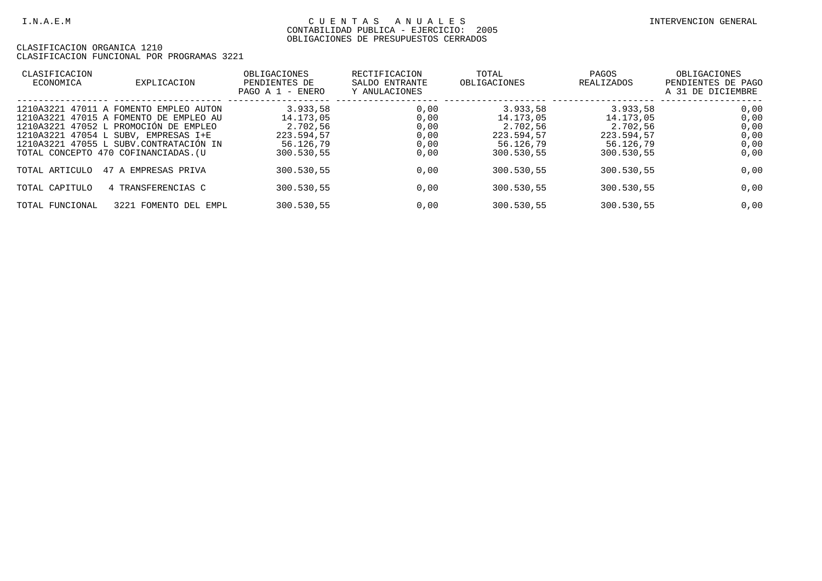| CLASIFICACION<br>ECONOMICA | EXPLICACION                                                                                                                                                                                                                                         | OBLIGACIONES<br>PENDIENTES DE<br>PAGO A 1 - ENERO                          | RECTIFICACION<br>SALDO ENTRANTE<br>Y ANULACIONES | TOTAL<br>OBLIGACIONES                                                      | PAGOS<br>REALIZADOS                                                        | OBLIGACIONES<br>PENDIENTES DE PAGO<br>A 31 DE DICIEMBRE |
|----------------------------|-----------------------------------------------------------------------------------------------------------------------------------------------------------------------------------------------------------------------------------------------------|----------------------------------------------------------------------------|--------------------------------------------------|----------------------------------------------------------------------------|----------------------------------------------------------------------------|---------------------------------------------------------|
|                            | 1210A3221 47011 A FOMENTO EMPLEO AUTON<br>1210A3221 47015 A FOMENTO DE EMPLEO AU<br>1210A3221 47052 L PROMOCIÓN DE EMPLEO<br>1210A3221 47054 L SUBV, EMPRESAS I+E<br>1210A3221 47055 L SUBV.CONTRATACIÓN IN<br>TOTAL CONCEPTO 470 COFINANCIADAS. (U | 3.933.58<br>14.173.05<br>2.702.56<br>223.594,57<br>56.126.79<br>300.530,55 | 0.00<br>0,00<br>0,00<br>0,00<br>0,00<br>0,00     | 3.933.58<br>14.173,05<br>2.702.56<br>223.594.57<br>56.126,79<br>300.530,55 | 3.933,58<br>14.173,05<br>2.702.56<br>223.594,57<br>56.126,79<br>300.530,55 | 0,00<br>0,00<br>0,00<br>0,00<br>0,00<br>0,00            |
| TOTAL ARTICULO             | 47 A EMPRESAS PRIVA                                                                                                                                                                                                                                 | 300.530.55                                                                 | 0,00                                             | 300.530,55                                                                 | 300.530.55                                                                 | 0,00                                                    |
| TOTAL CAPITULO             | 4 TRANSFERENCIAS C                                                                                                                                                                                                                                  | 300.530,55                                                                 | 0,00                                             | 300.530.55                                                                 | 300.530.55                                                                 | 0,00                                                    |
| TOTAL FUNCIONAL            | 3221 FOMENTO DEL EMPL                                                                                                                                                                                                                               | 300.530,55                                                                 | 0,00                                             | 300.530,55                                                                 | 300.530,55                                                                 | 0,00                                                    |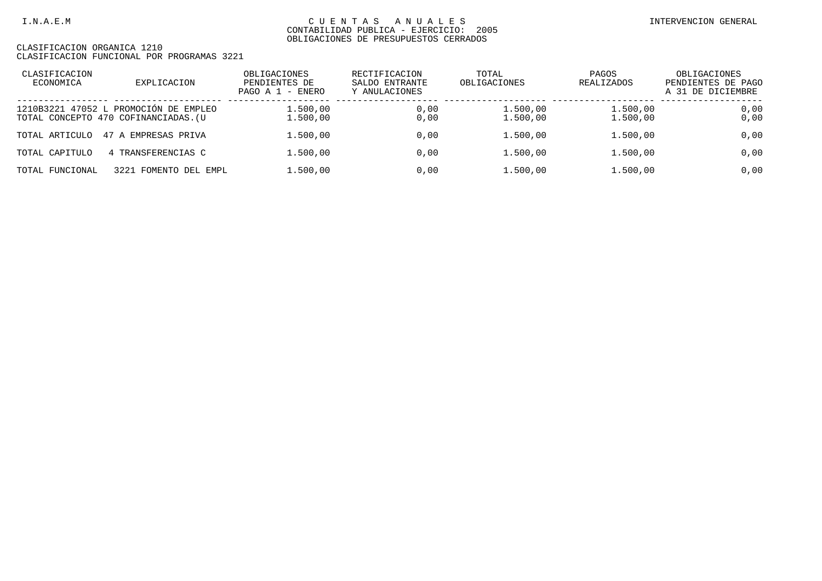| CLASIFICACION<br>ECONOMICA | EXPLICACION                                                                   | OBLIGACIONES<br>PENDIENTES DE<br>PAGO A $1$ - ENERO | RECTIFICACION<br>SALDO ENTRANTE<br>Y ANULACIONES | TOTAL<br>OBLIGACIONES | PAGOS<br>REALIZADOS  | OBLIGACIONES<br>PENDIENTES DE PAGO<br>A 31 DE DICIEMBRE |
|----------------------------|-------------------------------------------------------------------------------|-----------------------------------------------------|--------------------------------------------------|-----------------------|----------------------|---------------------------------------------------------|
|                            | 1210B3221 47052 L PROMOCIÓN DE EMPLEO<br>TOTAL CONCEPTO 470 COFINANCIADAS. (U | 1.500,00<br>1.500,00                                | 0,00<br>0,00                                     | 1.500,00<br>1,500,00  | 1,500,00<br>1,500,00 | 0,00<br>0,00                                            |
| TOTAL ARTICULO             | 47 A EMPRESAS PRIVA                                                           | 1.500,00                                            | 0.00                                             | 1.500,00              | 1,500,00             | 0,00                                                    |
| TOTAL CAPITULO             | 4 TRANSFERENCIAS C                                                            | 1.500,00                                            | 0.00                                             | 1.500,00              | 1,500,00             | 0,00                                                    |
| TOTAL FUNCIONAL            | 3221 FOMENTO DEL EMPL                                                         | 1.500.00                                            | 0.00                                             | 1.500,00              | 1,500,00             | 0,00                                                    |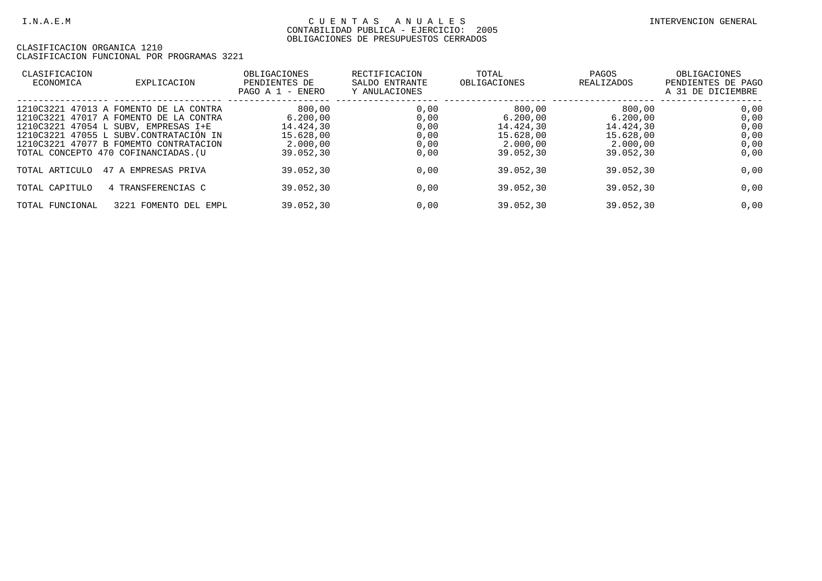| CLASIFICACION<br>ECONOMICA | EXPLICACION                                                                                                                                                                                                                                          | OBLIGACIONES<br>PENDIENTES DE<br>- ENERO<br>PAGO A 1                  | RECTIFICACION<br>SALDO ENTRANTE<br>Y ANULACIONES | TOTAL<br>OBLIGACIONES                                                 | PAGOS<br>REALIZADOS                                                   | OBLIGACIONES<br>PENDIENTES DE PAGO<br>A 31 DE DICIEMBRE |
|----------------------------|------------------------------------------------------------------------------------------------------------------------------------------------------------------------------------------------------------------------------------------------------|-----------------------------------------------------------------------|--------------------------------------------------|-----------------------------------------------------------------------|-----------------------------------------------------------------------|---------------------------------------------------------|
|                            | 1210C3221 47013 A FOMENTO DE LA CONTRA<br>1210C3221 47017 A FOMENTO DE LA CONTRA<br>1210C3221 47054 L SUBV, EMPRESAS I+E<br>1210C3221 47055 L SUBV.CONTRATACIÓN IN<br>1210C3221 47077 B FOMEMTO CONTRATACION<br>TOTAL CONCEPTO 470 COFINANCIADAS. (U | 800,00<br>6.200.00<br>14.424.30<br>15.628.00<br>2,000,00<br>39.052,30 | 0,00<br>0,00<br>0,00<br>0,00<br>0,00<br>0,00     | 800,00<br>6.200,00<br>14.424.30<br>15.628.00<br>2.000,00<br>39.052,30 | 800,00<br>6.200,00<br>14.424.30<br>15.628,00<br>2.000,00<br>39.052,30 | 0,00<br>0,00<br>0,00<br>0,00<br>0,00<br>0,00            |
| TOTAL ARTICULO             | 47 A EMPRESAS PRIVA                                                                                                                                                                                                                                  | 39.052.30                                                             | 0,00                                             | 39.052.30                                                             | 39.052.30                                                             | 0,00                                                    |
| TOTAL CAPITULO             | 4 TRANSFERENCIAS C                                                                                                                                                                                                                                   | 39.052.30                                                             | 0,00                                             | 39.052,30                                                             | 39.052.30                                                             | 0,00                                                    |
| TOTAL FUNCIONAL            | 3221 FOMENTO DEL EMPL                                                                                                                                                                                                                                | 39.052.30                                                             | 0,00                                             | 39.052,30                                                             | 39.052.30                                                             | 0,00                                                    |